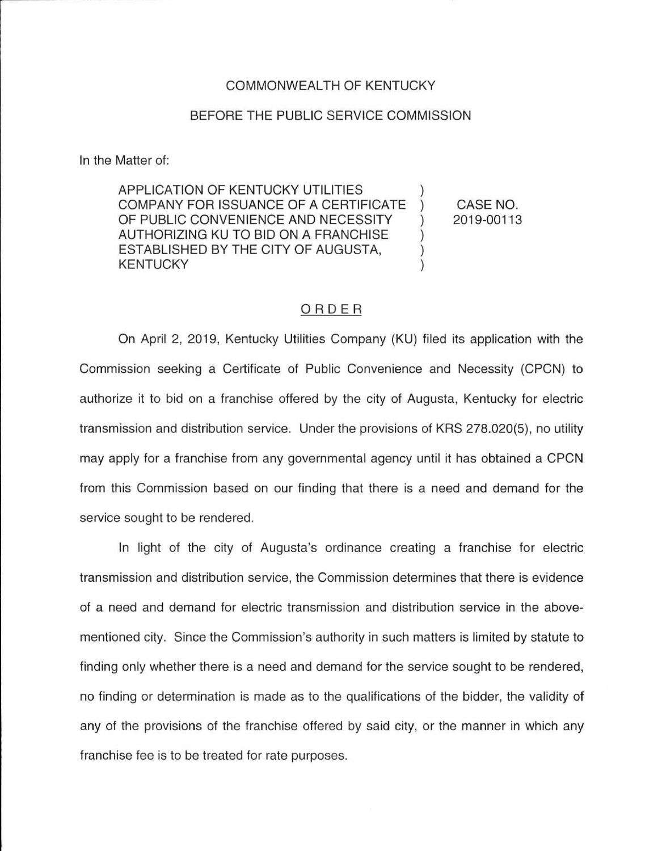## COMMONWEAL TH OF KENTUCKY

## BEFORE THE PUBLIC SERVICE COMMISSION

In the Matter of:

APPLICATION OF KENTUCKY UTILITIES COMPANY FOR ISSUANCE OF A CERTIFICATE OF PUBLIC CONVENIENCE AND NECESSITY AUTHORIZING KU TO BID ON A FRANCHISE ESTABLISHED BY THE CITY OF AUGUSTA, KENTUCKY

CASE NO. 2019-00113

## ORDER

On April 2, 2019, Kentucky Utilities Company (KU) filed its application with the Commission seeking a Certificate of Public Convenience and Necessity (CPCN) to authorize it to bid on a franchise offered by the city of Augusta, Kentucky for electric transmission and distribution service. Under the provisions of KRS 278.020(5), no utility may apply for a franchise from any governmental agency until it has obtained a CPCN from this Commission based on our finding that there is a need and demand for the service sought to be rendered.

In light of the city of Augusta's ordinance creating a franchise for electric transmission and distribution service, the Commission determines that there is evidence of a need and demand for electric transmission and distribution service in the abovementioned city. Since the Commission's authority in such matters is limited by statute to finding only whether there is a need and demand for the service sought to be rendered, no finding or determination is made as to the qualifications of the bidder, the validity of any of the provisions of the franchise offered by said city, or the manner in which any franchise fee is to be treated for rate purposes.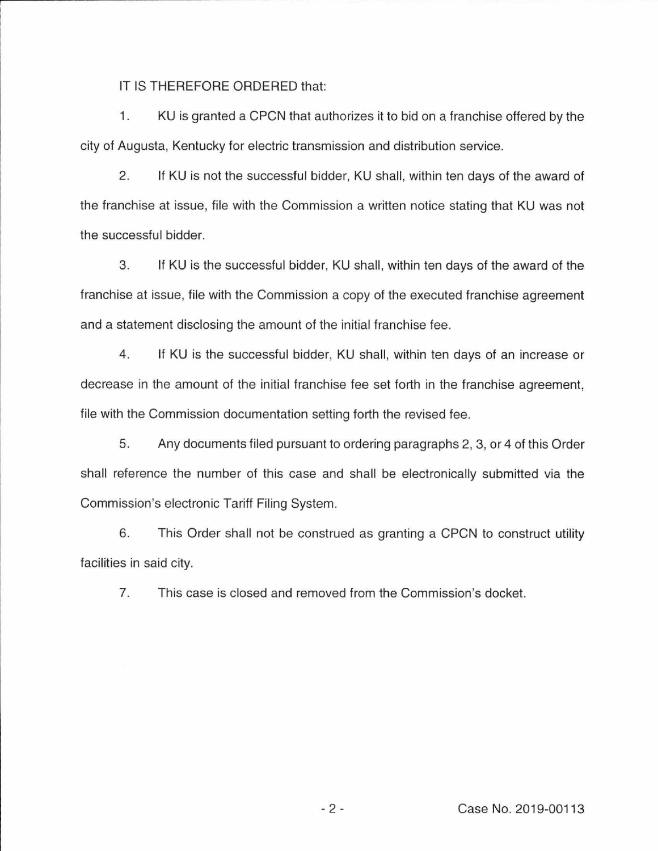IT IS THEREFORE ORDERED that:

1. KU is granted a CPCN that authorizes it to bid on a franchise offered by the city of Augusta, Kentucky for electric transmission and distribution service.

2. If KU is not the successful bidder, KU shall, within ten days of the award of the franchise at issue, file with the Commission a written notice stating that KU was not the successful bidder.

3. If KU is the successful bidder, KU shall, within ten days of the award of the franchise at issue, file with the Commission a copy of the executed franchise agreement and a statement disclosing the amount of the initial franchise fee.

4. If KU is the successful bidder, KU shall, within ten days of an increase or decrease in the amount of the initial franchise fee set forth in the franchise agreement, file with the Commission documentation setting forth the revised fee.

5. Any documents filed pursuant to ordering paragraphs 2, 3, or 4 of this Order shall reference the number of this case and shall be electronically submitted via the Commission's electronic Tariff Filing System .

6. This Order shall not be construed as granting a CPCN to construct utility facilities in said city.

7. This case is closed and removed from the Commission's docket.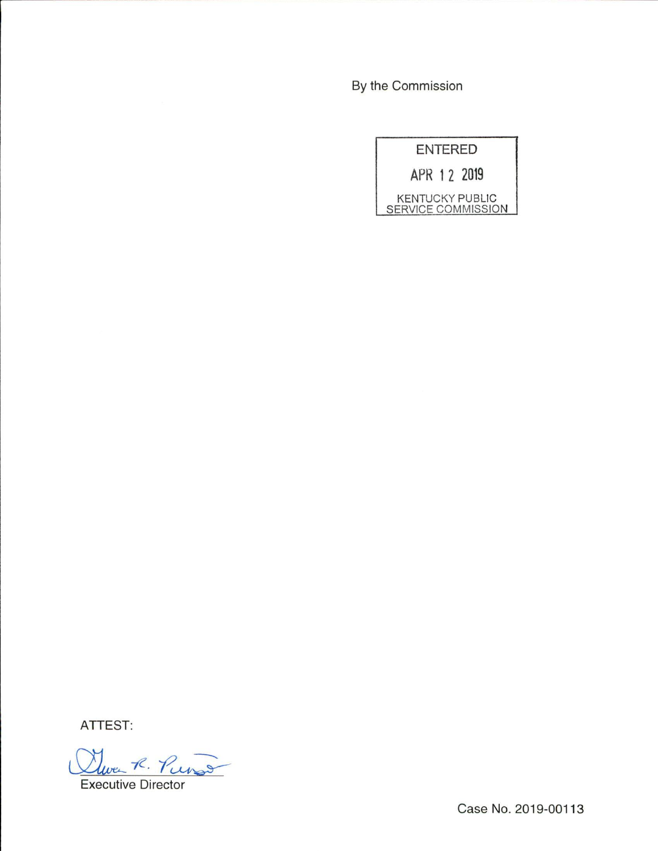By the Commission

| ENTERED                                      |
|----------------------------------------------|
| APR 1 2 2019                                 |
| <b>KENTUCKY PUBLIC</b><br>SERVICE COMMISSION |

ATTEST:

Twee R. Purs Executive Director

Case No. 2019-00113